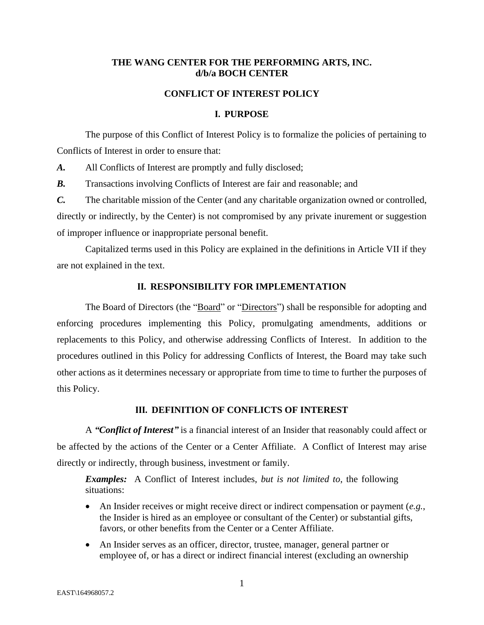## **THE WANG CENTER FOR THE PERFORMING ARTS, INC. d/b/a BOCH CENTER**

#### **CONFLICT OF INTEREST POLICY**

#### **I. PURPOSE**

The purpose of this Conflict of Interest Policy is to formalize the policies of pertaining to Conflicts of Interest in order to ensure that:

*A.* All Conflicts of Interest are promptly and fully disclosed;

*B.* Transactions involving Conflicts of Interest are fair and reasonable; and

*C.* The charitable mission of the Center (and any charitable organization owned or controlled, directly or indirectly, by the Center) is not compromised by any private inurement or suggestion of improper influence or inappropriate personal benefit.

Capitalized terms used in this Policy are explained in the definitions in Article VII if they are not explained in the text.

#### **II. RESPONSIBILITY FOR IMPLEMENTATION**

The Board of Directors (the "Board" or "Directors") shall be responsible for adopting and enforcing procedures implementing this Policy, promulgating amendments, additions or replacements to this Policy, and otherwise addressing Conflicts of Interest. In addition to the procedures outlined in this Policy for addressing Conflicts of Interest, the Board may take such other actions as it determines necessary or appropriate from time to time to further the purposes of this Policy.

# **III. DEFINITION OF CONFLICTS OF INTEREST**

A *"Conflict of Interest"* is a financial interest of an Insider that reasonably could affect or be affected by the actions of the Center or a Center Affiliate. A Conflict of Interest may arise directly or indirectly, through business, investment or family.

*Examples:* A Conflict of Interest includes, *but is not limited to*, the following situations:

- An Insider receives or might receive direct or indirect compensation or payment (*e.g.*, the Insider is hired as an employee or consultant of the Center) or substantial gifts, favors, or other benefits from the Center or a Center Affiliate.
- An Insider serves as an officer, director, trustee, manager, general partner or employee of, or has a direct or indirect financial interest (excluding an ownership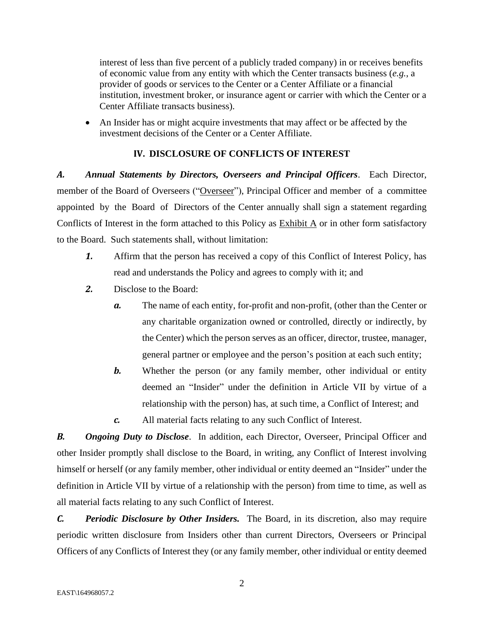interest of less than five percent of a publicly traded company) in or receives benefits of economic value from any entity with which the Center transacts business (*e.g.*, a provider of goods or services to the Center or a Center Affiliate or a financial institution, investment broker, or insurance agent or carrier with which the Center or a Center Affiliate transacts business).

• An Insider has or might acquire investments that may affect or be affected by the investment decisions of the Center or a Center Affiliate.

# **IV. DISCLOSURE OF CONFLICTS OF INTEREST**

*A. Annual Statements by Directors, Overseers and Principal Officers*. Each Director, member of the Board of Overseers ("Overseer"), Principal Officer and member of a committee appointed by the Board of Directors of the Center annually shall sign a statement regarding Conflicts of Interest in the form attached to this Policy as  $\frac{Exhibit A}{A}$  or in other form satisfactory to the Board. Such statements shall, without limitation:

- *1.* Affirm that the person has received a copy of this Conflict of Interest Policy, has read and understands the Policy and agrees to comply with it; and
- *2.* Disclose to the Board:
	- *a.* The name of each entity, for-profit and non-profit, (other than the Center or any charitable organization owned or controlled, directly or indirectly, by the Center) which the person serves as an officer, director, trustee, manager, general partner or employee and the person's position at each such entity;
	- **b.** Whether the person (or any family member, other individual or entity deemed an "Insider" under the definition in Article VII by virtue of a relationship with the person) has, at such time, a Conflict of Interest; and
	- *c.* All material facts relating to any such Conflict of Interest.

*B. Ongoing Duty to Disclose*. In addition, each Director, Overseer, Principal Officer and other Insider promptly shall disclose to the Board, in writing, any Conflict of Interest involving himself or herself (or any family member, other individual or entity deemed an "Insider" under the definition in Article VII by virtue of a relationship with the person) from time to time, as well as all material facts relating to any such Conflict of Interest.

*C. Periodic Disclosure by Other Insiders.* The Board, in its discretion, also may require periodic written disclosure from Insiders other than current Directors, Overseers or Principal Officers of any Conflicts of Interest they (or any family member, other individual or entity deemed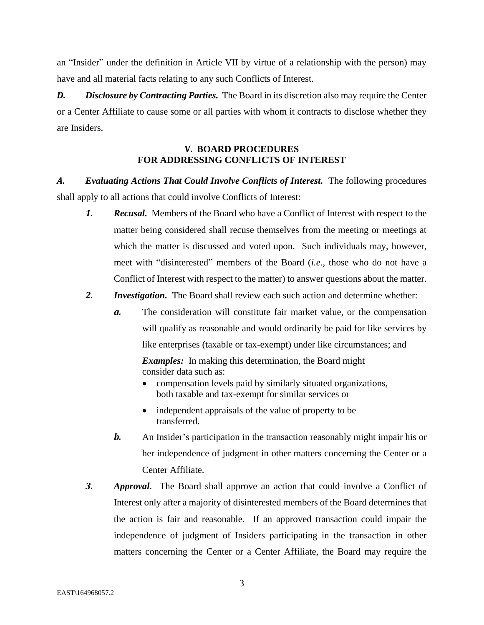an "Insider" under the definition in Article VII by virtue of a relationship with the person) may have and all material facts relating to any such Conflicts of Interest.

*D. Disclosure by Contracting Parties.* The Board in its discretion also may require the Center or a Center Affiliate to cause some or all parties with whom it contracts to disclose whether they are Insiders.

# **V. BOARD PROCEDURES FOR ADDRESSING CONFLICTS OF INTEREST**

*A. Evaluating Actions That Could Involve Conflicts of Interest.* The following procedures shall apply to all actions that could involve Conflicts of Interest:

- *1. Recusal.* Members of the Board who have a Conflict of Interest with respect to the matter being considered shall recuse themselves from the meeting or meetings at which the matter is discussed and voted upon. Such individuals may, however, meet with "disinterested" members of the Board (*i.e.*, those who do not have a Conflict of Interest with respect to the matter) to answer questions about the matter.
- *2. Investigation.* The Board shall review each such action and determine whether:
	- *a.* The consideration will constitute fair market value, or the compensation will qualify as reasonable and would ordinarily be paid for like services by like enterprises (taxable or tax-exempt) under like circumstances; and

*Examples:* In making this determination, the Board might consider data such as:

- compensation levels paid by similarly situated organizations, both taxable and tax-exempt for similar services or
- independent appraisals of the value of property to be transferred.
- *b.* An Insider's participation in the transaction reasonably might impair his or her independence of judgment in other matters concerning the Center or a Center Affiliate.
- *3. Approval*. The Board shall approve an action that could involve a Conflict of Interest only after a majority of disinterested members of the Board determines that the action is fair and reasonable. If an approved transaction could impair the independence of judgment of Insiders participating in the transaction in other matters concerning the Center or a Center Affiliate, the Board may require the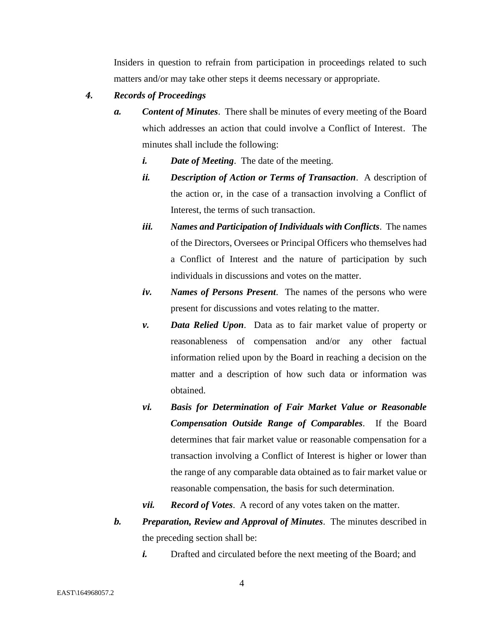Insiders in question to refrain from participation in proceedings related to such matters and/or may take other steps it deems necessary or appropriate.

### *4. Records of Proceedings*

- *a. Content of Minutes*. There shall be minutes of every meeting of the Board which addresses an action that could involve a Conflict of Interest. The minutes shall include the following:
	- *i. Date of Meeting*. The date of the meeting.
	- *ii. Description of Action or Terms of Transaction*. A description of the action or, in the case of a transaction involving a Conflict of Interest, the terms of such transaction.
	- *iii. Names and Participation of Individuals with Conflicts*. The names of the Directors, Oversees or Principal Officers who themselves had a Conflict of Interest and the nature of participation by such individuals in discussions and votes on the matter.
	- *iv. Names of Persons Present*. The names of the persons who were present for discussions and votes relating to the matter.
	- *v. Data Relied Upon*. Data as to fair market value of property or reasonableness of compensation and/or any other factual information relied upon by the Board in reaching a decision on the matter and a description of how such data or information was obtained.
	- *vi. Basis for Determination of Fair Market Value or Reasonable Compensation Outside Range of Comparables*. If the Board determines that fair market value or reasonable compensation for a transaction involving a Conflict of Interest is higher or lower than the range of any comparable data obtained as to fair market value or reasonable compensation, the basis for such determination.
	- *vii. Record of Votes*. A record of any votes taken on the matter.
- *b. Preparation, Review and Approval of Minutes*. The minutes described in the preceding section shall be:
	- *i.* Drafted and circulated before the next meeting of the Board; and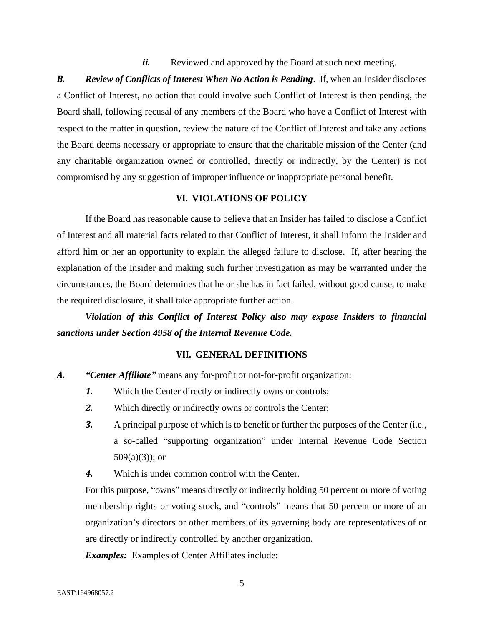*ii.* Reviewed and approved by the Board at such next meeting.

*B. Review of Conflicts of Interest When No Action is Pending*. If, when an Insider discloses a Conflict of Interest, no action that could involve such Conflict of Interest is then pending, the Board shall, following recusal of any members of the Board who have a Conflict of Interest with respect to the matter in question, review the nature of the Conflict of Interest and take any actions the Board deems necessary or appropriate to ensure that the charitable mission of the Center (and any charitable organization owned or controlled, directly or indirectly, by the Center) is not compromised by any suggestion of improper influence or inappropriate personal benefit.

### **VI. VIOLATIONS OF POLICY**

If the Board has reasonable cause to believe that an Insider has failed to disclose a Conflict of Interest and all material facts related to that Conflict of Interest, it shall inform the Insider and afford him or her an opportunity to explain the alleged failure to disclose. If, after hearing the explanation of the Insider and making such further investigation as may be warranted under the circumstances, the Board determines that he or she has in fact failed, without good cause, to make the required disclosure, it shall take appropriate further action.

*Violation of this Conflict of Interest Policy also may expose Insiders to financial sanctions under Section 4958 of the Internal Revenue Code.*

#### **VII. GENERAL DEFINITIONS**

- *A. "Center Affiliate"* means any for-profit or not-for-profit organization:
	- *1.* Which the Center directly or indirectly owns or controls;
	- *2.* Which directly or indirectly owns or controls the Center;
	- *3.* A principal purpose of which is to benefit or further the purposes of the Center (i.e., a so-called "supporting organization" under Internal Revenue Code Section  $509(a)(3)$ ; or
	- *4.* Which is under common control with the Center.

For this purpose, "owns" means directly or indirectly holding 50 percent or more of voting membership rights or voting stock, and "controls" means that 50 percent or more of an organization's directors or other members of its governing body are representatives of or are directly or indirectly controlled by another organization.

*Examples:* Examples of Center Affiliates include: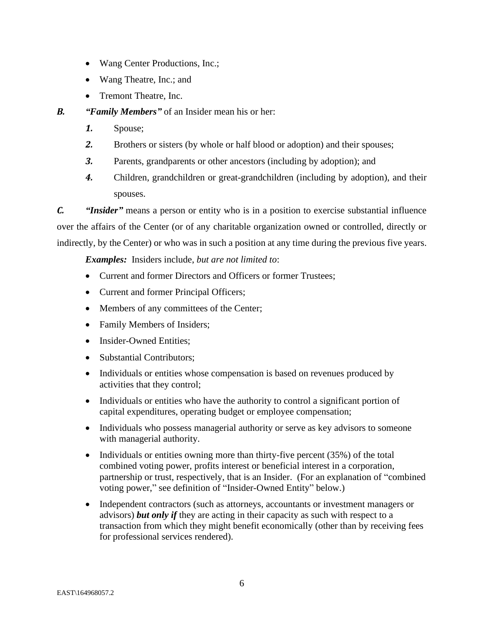- Wang Center Productions, Inc.;
- Wang Theatre, Inc.; and
- Tremont Theatre, Inc.

*B. "Family Members"* of an Insider mean his or her:

- *1.* Spouse;
- *2.* Brothers or sisters (by whole or half blood or adoption) and their spouses;
- *3.* Parents, grandparents or other ancestors (including by adoption); and
- *4.* Children, grandchildren or great-grandchildren (including by adoption), and their spouses.

*C. "Insider"* means a person or entity who is in a position to exercise substantial influence over the affairs of the Center (or of any charitable organization owned or controlled, directly or indirectly, by the Center) or who was in such a position at any time during the previous five years.

*Examples:* Insiders include, *but are not limited to*:

- Current and former Directors and Officers or former Trustees;
- Current and former Principal Officers;
- Members of any committees of the Center;
- Family Members of Insiders;
- Insider-Owned Entities:
- Substantial Contributors:
- Individuals or entities whose compensation is based on revenues produced by activities that they control;
- Individuals or entities who have the authority to control a significant portion of capital expenditures, operating budget or employee compensation;
- Individuals who possess managerial authority or serve as key advisors to someone with managerial authority.
- Individuals or entities owning more than thirty-five percent (35%) of the total combined voting power, profits interest or beneficial interest in a corporation, partnership or trust, respectively, that is an Insider. (For an explanation of "combined voting power," see definition of "Insider-Owned Entity" below.)
- Independent contractors (such as attorneys, accountants or investment managers or advisors) *but only if* they are acting in their capacity as such with respect to a transaction from which they might benefit economically (other than by receiving fees for professional services rendered).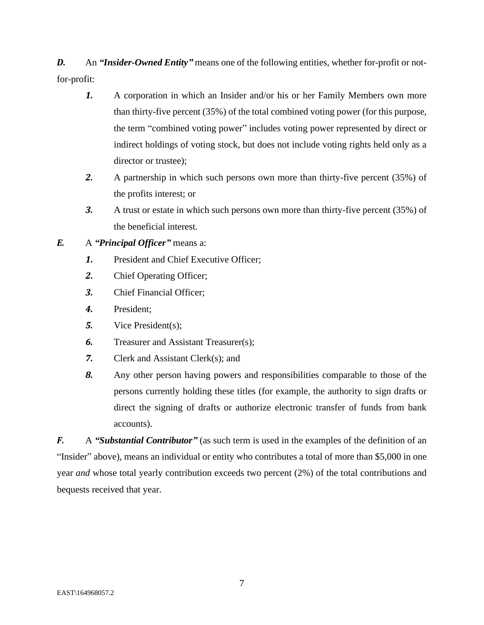**D.** An *"Insider-Owned Entity"* means one of the following entities, whether for-profit or notfor-profit:

- *1.* A corporation in which an Insider and/or his or her Family Members own more than thirty-five percent (35%) of the total combined voting power (for this purpose, the term "combined voting power" includes voting power represented by direct or indirect holdings of voting stock, but does not include voting rights held only as a director or trustee);
- *2.* A partnership in which such persons own more than thirty-five percent (35%) of the profits interest; or
- *3.* A trust or estate in which such persons own more than thirty-five percent (35%) of the beneficial interest.
- *E.* A *"Principal Officer"* means a:
	- *1.* President and Chief Executive Officer;
	- *2.* Chief Operating Officer;
	- *3.* Chief Financial Officer;
	- *4.* President;
	- *5.* Vice President(s);
	- **6.** Treasurer and Assistant Treasurer(s);
	- *7.* Clerk and Assistant Clerk(s); and
	- *8.* Any other person having powers and responsibilities comparable to those of the persons currently holding these titles (for example, the authority to sign drafts or direct the signing of drafts or authorize electronic transfer of funds from bank accounts).

*F.* A *"Substantial Contributor"* (as such term is used in the examples of the definition of an "Insider" above), means an individual or entity who contributes a total of more than \$5,000 in one year *and* whose total yearly contribution exceeds two percent (2%) of the total contributions and bequests received that year.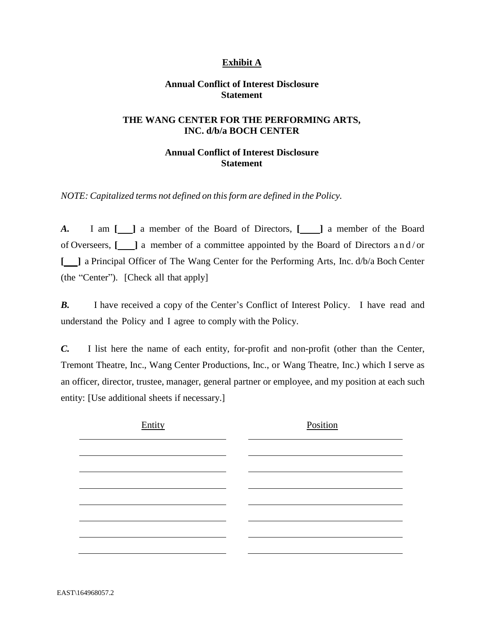# **Exhibit A**

### **Annual Conflict of Interest Disclosure Statement**

#### **THE WANG CENTER FOR THE PERFORMING ARTS, INC. d/b/a BOCH CENTER**

## **Annual Conflict of Interest Disclosure Statement**

*NOTE: Capitalized terms not defined on this form are defined in the Policy.*

*A.* I am [120] a member of the Board of Directors, [120] a member of the Board of Overseers, **[ ]** a member of a committee appointed by the Board of Directors a n d / or **[ ]** a Principal Officer of The Wang Center for the Performing Arts, Inc. d/b/a Boch Center (the "Center"). [Check all that apply]

**B.** I have received a copy of the Center's Conflict of Interest Policy. I have read and understand the Policy and I agree to comply with the Policy.

*C.* I list here the name of each entity, for-profit and non-profit (other than the Center, Tremont Theatre, Inc., Wang Center Productions, Inc., or Wang Theatre, Inc.) which I serve as an officer, director, trustee, manager, general partner or employee, and my position at each such entity: [Use additional sheets if necessary.]

| Entity | Position |
|--------|----------|
|        |          |
|        |          |
|        |          |
|        |          |
|        |          |
|        |          |
|        |          |